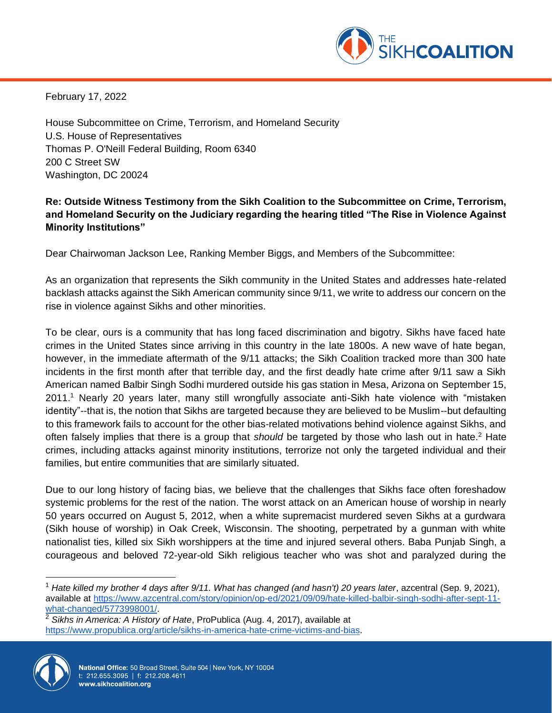

February 17, 2022

House Subcommittee on Crime, Terrorism, and Homeland Security U.S. House of Representatives Thomas P. O'Neill Federal Building, Room 6340 200 C Street SW Washington, DC 20024

# **Re: Outside Witness Testimony from the Sikh Coalition to the Subcommittee on Crime, Terrorism, and Homeland Security on the Judiciary regarding the hearing titled "The Rise in Violence Against Minority Institutions"**

Dear Chairwoman Jackson Lee, Ranking Member Biggs, and Members of the Subcommittee:

As an organization that represents the Sikh community in the United States and addresses hate-related backlash attacks against the Sikh American community since 9/11, we write to address our concern on the rise in violence against Sikhs and other minorities.

To be clear, ours is a community that has long faced discrimination and bigotry. Sikhs have faced hate crimes in the United States since arriving in this country in the late 1800s. A new wave of hate began, however, in the immediate aftermath of the 9/11 attacks; the Sikh Coalition tracked more than 300 hate incidents in the first month after that terrible day, and the first deadly hate crime after 9/11 saw a Sikh American named Balbir Singh Sodhi murdered outside his gas station in Mesa, Arizona on September 15, 2011.<sup>1</sup> Nearly 20 years later, many still wrongfully associate anti-Sikh hate violence with "mistaken identity"--that is, the notion that Sikhs are targeted because they are believed to be Muslim--but defaulting to this framework fails to account for the other bias-related motivations behind violence against Sikhs, and often falsely implies that there is a group that *should* be targeted by those who lash out in hate.<sup>2</sup> Hate crimes, including attacks against minority institutions, terrorize not only the targeted individual and their families, but entire communities that are similarly situated.

Due to our long history of facing bias, we believe that the challenges that Sikhs face often foreshadow systemic problems for the rest of the nation. The worst attack on an American house of worship in nearly 50 years occurred on August 5, 2012, when a white supremacist murdered seven Sikhs at a gurdwara (Sikh house of worship) in Oak Creek, Wisconsin. The shooting, perpetrated by a gunman with white nationalist ties, killed six Sikh worshippers at the time and injured several others. Baba Punjab Singh, a courageous and beloved 72-year-old Sikh religious teacher who was shot and paralyzed during the

<sup>2</sup> *Sikhs in America: A History of Hate*, ProPublica (Aug. 4, 2017), available at [https://www.propublica.org/article/sikhs-in-america-hate-crime-victims-and-bias.](https://www.propublica.org/article/sikhs-in-america-hate-crime-victims-and-bias)



<sup>1</sup> *Hate killed my brother 4 days after 9/11. What has changed (and hasn't) 20 years later*, azcentral (Sep. 9, 2021), available at [https://www.azcentral.com/story/opinion/op-ed/2021/09/09/hate-killed-balbir-singh-sodhi-after-sept-11](https://www.azcentral.com/story/opinion/op-ed/2021/09/09/hate-killed-balbir-singh-sodhi-after-sept-11-what-changed/5773998001/) [what-changed/5773998001/.](https://www.azcentral.com/story/opinion/op-ed/2021/09/09/hate-killed-balbir-singh-sodhi-after-sept-11-what-changed/5773998001/)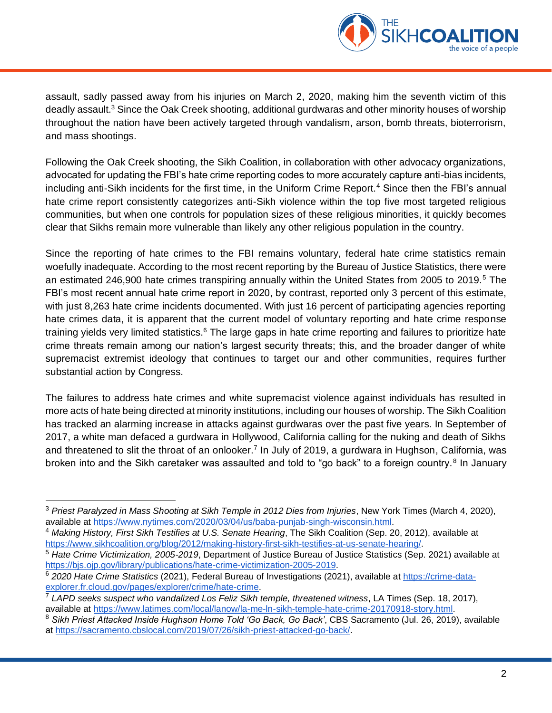

assault, sadly passed away from his injuries on March 2, 2020, making him the seventh victim of this deadly assault.<sup>3</sup> Since the Oak Creek shooting, additional gurdwaras and other minority houses of worship throughout the nation have been actively targeted through vandalism, arson, bomb threats, bioterrorism, and mass shootings.

Following the Oak Creek shooting, the Sikh Coalition, in collaboration with other advocacy organizations, advocated for updating the FBI's hate crime reporting codes to more accurately capture anti-bias incidents, including anti-Sikh incidents for the first time, in the Uniform Crime Report.<sup>4</sup> Since then the FBI's annual hate crime report consistently categorizes anti-Sikh violence within the top five most targeted religious communities, but when one controls for population sizes of these religious minorities, it quickly becomes clear that Sikhs remain more vulnerable than likely any other religious population in the country.

Since the reporting of hate crimes to the FBI remains voluntary, federal hate crime statistics remain woefully inadequate. According to the most recent reporting by the Bureau of Justice Statistics, there were an estimated 246,900 hate crimes transpiring annually within the United States from 2005 to 2019.<sup>5</sup> The FBI's most recent annual hate crime report in 2020, by contrast, reported only 3 percent of this estimate, with just 8,263 hate crime incidents documented. With just 16 percent of participating agencies reporting hate crimes data, it is apparent that the current model of voluntary reporting and hate crime response training yields very limited statistics.<sup>6</sup> The large gaps in hate crime reporting and failures to prioritize hate crime threats remain among our nation's largest security threats; this, and the broader danger of white supremacist extremist ideology that continues to target our and other communities, requires further substantial action by Congress.

The failures to address hate crimes and white supremacist violence against individuals has resulted in more acts of hate being directed at minority institutions, including our houses of worship. The Sikh Coalition has tracked an alarming increase in attacks against gurdwaras over the past five years. In September of 2017, a white man defaced a gurdwara in Hollywood, California calling for the nuking and death of Sikhs and threatened to slit the throat of an onlooker.<sup>7</sup> In July of 2019, a gurdwara in Hughson, California, was broken into and the Sikh caretaker was assaulted and told to "go back" to a foreign country.<sup>8</sup> In January

<sup>3</sup> *Priest Paralyzed in Mass Shooting at Sikh Temple in 2012 Dies from Injuries*, New York Times (March 4, 2020), available at [https://www.nytimes.com/2020/03/04/us/baba-punjab-singh-wisconsin.html.](https://www.nytimes.com/2020/03/04/us/baba-punjab-singh-wisconsin.html)

<sup>4</sup> *Making History, First Sikh Testifies at U.S. Senate Hearing*, The Sikh Coalition (Sep. 20, 2012), available at [https://www.sikhcoalition.org/blog/2012/making-history-first-sikh-testifies-at-us-senate-hearing/.](https://www.sikhcoalition.org/blog/2012/making-history-first-sikh-testifies-at-us-senate-hearing/)

<sup>5</sup> *Hate Crime Victimization, 2005-2019*, Department of Justice Bureau of Justice Statistics (Sep. 2021) available at [https://bjs.ojp.gov/library/publications/hate-crime-victimization-2005-2019.](https://bjs.ojp.gov/library/publications/hate-crime-victimization-2005-2019)

<sup>6</sup> *2020 Hate Crime Statistics* (2021), Federal Bureau of Investigations (2021), available at [https://crime-data](https://crime-data-explorer.fr.cloud.gov/pages/explorer/crime/hate-crime)[explorer.fr.cloud.gov/pages/explorer/crime/hate-crime.](https://crime-data-explorer.fr.cloud.gov/pages/explorer/crime/hate-crime)

<sup>7</sup> *LAPD seeks suspect who vandalized Los Feliz Sikh temple, threatened witness*, LA Times (Sep. 18, 2017), available at [https://www.latimes.com/local/lanow/la-me-ln-sikh-temple-hate-crime-20170918-story.html.](https://www.latimes.com/local/lanow/la-me-ln-sikh-temple-hate-crime-20170918-story.html)

<sup>8</sup> *Sikh Priest Attacked Inside Hughson Home Told 'Go Back, Go Back'*, CBS Sacramento (Jul. 26, 2019), available at [https://sacramento.cbslocal.com/2019/07/26/sikh-priest-attacked-go-back/.](https://sacramento.cbslocal.com/2019/07/26/sikh-priest-attacked-go-back/)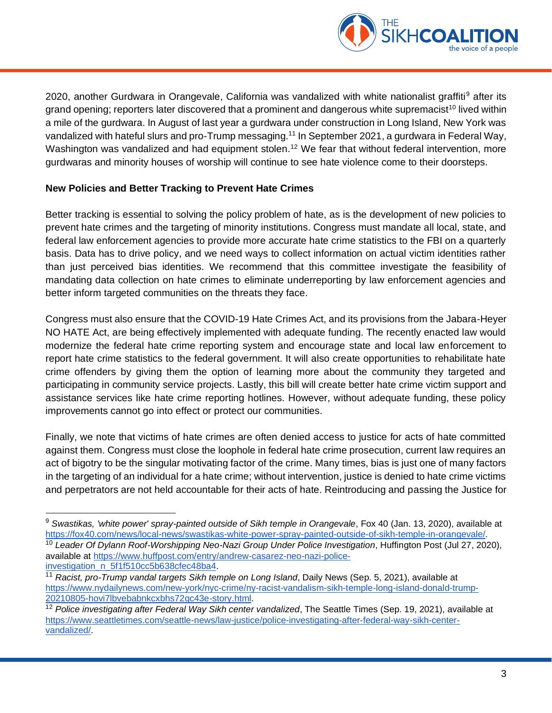

2020, another Gurdwara in Orangevale, California was vandalized with white nationalist graffiti<sup>9</sup> after its grand opening; reporters later discovered that a prominent and dangerous white supremacist<sup>10</sup> lived within a mile of the gurdwara. In August of last year a gurdwara under construction in Long Island, New York was vandalized with hateful slurs and pro-Trump messaging.<sup>11</sup> In September 2021, a gurdwara in Federal Way, Washington was vandalized and had equipment stolen.<sup>12</sup> We fear that without federal intervention, more gurdwaras and minority houses of worship will continue to see hate violence come to their doorsteps.

#### **New Policies and Better Tracking to Prevent Hate Crimes**

Better tracking is essential to solving the policy problem of hate, as is the development of new policies to prevent hate crimes and the targeting of minority institutions. Congress must mandate all local, state, and federal law enforcement agencies to provide more accurate hate crime statistics to the FBI on a quarterly basis. Data has to drive policy, and we need ways to collect information on actual victim identities rather than just perceived bias identities. We recommend that this committee investigate the feasibility of mandating data collection on hate crimes to eliminate underreporting by law enforcement agencies and better inform targeted communities on the threats they face.

Congress must also ensure that the COVID-19 Hate Crimes Act, and its provisions from the Jabara-Heyer NO HATE Act, are being effectively implemented with adequate funding. The recently enacted law would modernize the federal hate crime reporting system and encourage state and local law enforcement to report hate crime statistics to the federal government. It will also create opportunities to rehabilitate hate crime offenders by giving them the option of learning more about the community they targeted and participating in community service projects. Lastly, this bill will create better hate crime victim support and assistance services like hate crime reporting hotlines. However, without adequate funding, these policy improvements cannot go into effect or protect our communities.

Finally, we note that victims of hate crimes are often denied access to justice for acts of hate committed against them. Congress must close the loophole in federal hate crime prosecution, current law requires an act of bigotry to be the singular motivating factor of the crime. Many times, bias is just one of many factors in the targeting of an individual for a hate crime; without intervention, justice is denied to hate crime victims and perpetrators are not held accountable for their acts of hate. Reintroducing and passing the Justice for

[investigation\\_n\\_5f1f510cc5b638cfec48ba4.](https://www.huffpost.com/entry/andrew-casarez-neo-nazi-police-investigation_n_5f1f510cc5b638cfec48ba47)

<sup>&</sup>lt;sup>9</sup> Swastikas, 'white power' spray-painted outside of Sikh temple in Orangevale, Fox 40 (Jan. 13, 2020), available at [https://fox40.com/news/local-news/swastikas-white-power-spray-painted-outside-of-sikh-temple-in-orangevale/.](https://fox40.com/news/local-news/swastikas-white-power-spray-painted-outside-of-sikh-temple-in-orangevale/)

<sup>10</sup> *Leader Of Dylann Roof-Worshipping Neo-Nazi Group Under Police Investigation*, Huffington Post (Jul 27, 2020), available at [https://www.huffpost.com/entry/andrew-casarez-neo-nazi-police-](https://www.huffpost.com/entry/andrew-casarez-neo-nazi-police-investigation_n_5f1f510cc5b638cfec48ba47)

<sup>11</sup> *Racist, pro-Trump vandal targets Sikh temple on Long Island*, Daily News (Sep. 5, 2021), available at [https://www.nydailynews.com/new-york/nyc-crime/ny-racist-vandalism-sikh-temple-long-island-donald-trump-](https://www.nydailynews.com/new-york/nyc-crime/ny-racist-vandalism-sikh-temple-long-island-donald-trump-20210805-hovi7lbvebabnkcxbhs72gc43e-story.html)[20210805-hovi7lbvebabnkcxbhs72gc43e-story.html.](https://www.nydailynews.com/new-york/nyc-crime/ny-racist-vandalism-sikh-temple-long-island-donald-trump-20210805-hovi7lbvebabnkcxbhs72gc43e-story.html)

<sup>12</sup> *Police investigating after Federal Way Sikh center vandalized*, The Seattle Times (Sep. 19, 2021), available at [https://www.seattletimes.com/seattle-news/law-justice/police-investigating-after-federal-way-sikh-center](https://www.seattletimes.com/seattle-news/law-justice/police-investigating-after-federal-way-sikh-center-vandalized/)[vandalized/.](https://www.seattletimes.com/seattle-news/law-justice/police-investigating-after-federal-way-sikh-center-vandalized/)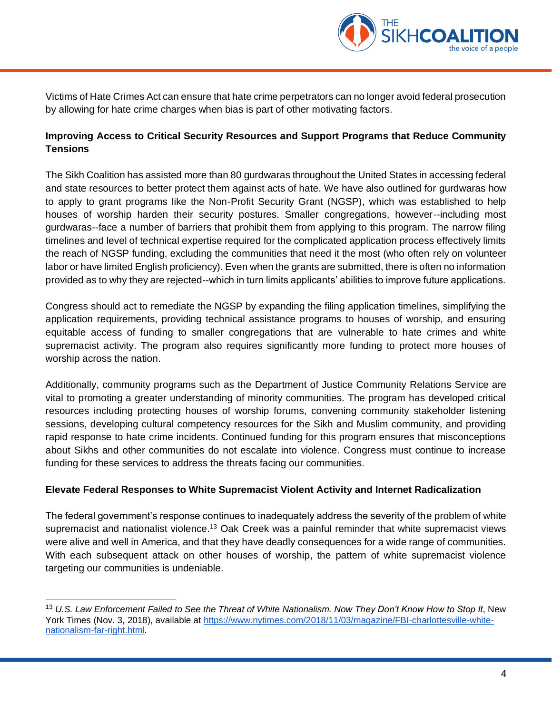

Victims of Hate Crimes Act can ensure that hate crime perpetrators can no longer avoid federal prosecution by allowing for hate crime charges when bias is part of other motivating factors.

# **Improving Access to Critical Security Resources and Support Programs that Reduce Community Tensions**

The Sikh Coalition has assisted more than 80 gurdwaras throughout the United States in accessing federal and state resources to better protect them against acts of hate. We have also outlined for gurdwaras how to apply to grant programs like the Non-Profit Security Grant (NGSP), which was established to help houses of worship harden their security postures. Smaller congregations, however--including most gurdwaras--face a number of barriers that prohibit them from applying to this program. The narrow filing timelines and level of technical expertise required for the complicated application process effectively limits the reach of NGSP funding, excluding the communities that need it the most (who often rely on volunteer labor or have limited English proficiency). Even when the grants are submitted, there is often no information provided as to why they are rejected--which in turn limits applicants' abilities to improve future applications.

Congress should act to remediate the NGSP by expanding the filing application timelines, simplifying the application requirements, providing technical assistance programs to houses of worship, and ensuring equitable access of funding to smaller congregations that are vulnerable to hate crimes and white supremacist activity. The program also requires significantly more funding to protect more houses of worship across the nation.

Additionally, community programs such as the Department of Justice Community Relations Service are vital to promoting a greater understanding of minority communities. The program has developed critical resources including protecting houses of worship forums, convening community stakeholder listening sessions, developing cultural competency resources for the Sikh and Muslim community, and providing rapid response to hate crime incidents. Continued funding for this program ensures that misconceptions about Sikhs and other communities do not escalate into violence. Congress must continue to increase funding for these services to address the threats facing our communities.

### **Elevate Federal Responses to White Supremacist Violent Activity and Internet Radicalization**

The federal government's response continues to inadequately address the severity of the problem of white supremacist and nationalist violence.<sup>13</sup> Oak Creek was a painful reminder that white supremacist views were alive and well in America, and that they have deadly consequences for a wide range of communities. With each subsequent attack on other houses of worship, the pattern of white supremacist violence targeting our communities is undeniable.

<sup>13</sup> *U.S. Law Enforcement Failed to See the Threat of White Nationalism. Now They Don't Know How to Stop It*, New York Times (Nov. 3, 2018), available at [https://www.nytimes.com/2018/11/03/magazine/FBI-charlottesville-white](https://www.nytimes.com/2018/11/03/magazine/FBI-charlottesville-white-nationalism-far-right.html)[nationalism-far-right.html.](https://www.nytimes.com/2018/11/03/magazine/FBI-charlottesville-white-nationalism-far-right.html)